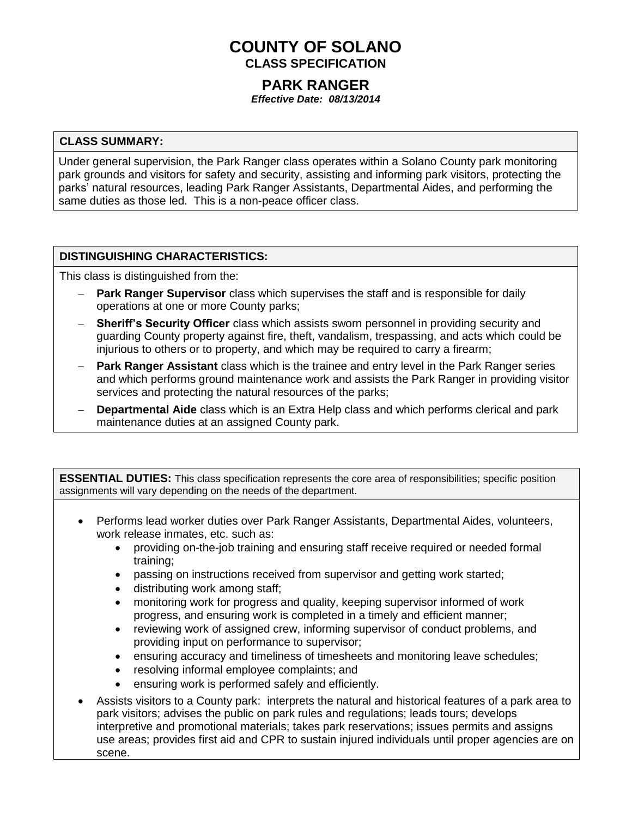# **COUNTY OF SOLANO CLASS SPECIFICATION**

## **PARK RANGER**

*Effective Date: 08/13/2014*

#### **CLASS SUMMARY:**

Under general supervision, the Park Ranger class operates within a Solano County park monitoring park grounds and visitors for safety and security, assisting and informing park visitors, protecting the parks' natural resources, leading Park Ranger Assistants, Departmental Aides, and performing the same duties as those led. This is a non-peace officer class.

## **DISTINGUISHING CHARACTERISTICS:**

This class is distinguished from the:

- **Park Ranger Supervisor** class which supervises the staff and is responsible for daily operations at one or more County parks;
- **Sheriff's Security Officer** class which assists sworn personnel in providing security and guarding County property against fire, theft, vandalism, trespassing, and acts which could be injurious to others or to property, and which may be required to carry a firearm;
- **Park Ranger Assistant** class which is the trainee and entry level in the Park Ranger series and which performs ground maintenance work and assists the Park Ranger in providing visitor services and protecting the natural resources of the parks;
- **Departmental Aide** class which is an Extra Help class and which performs clerical and park maintenance duties at an assigned County park.

**ESSENTIAL DUTIES:** This class specification represents the core area of responsibilities; specific position assignments will vary depending on the needs of the department.

- Performs lead worker duties over Park Ranger Assistants, Departmental Aides, volunteers, work release inmates, etc. such as:
	- providing on-the-job training and ensuring staff receive required or needed formal training;
	- passing on instructions received from supervisor and getting work started;
	- distributing work among staff;
	- monitoring work for progress and quality, keeping supervisor informed of work progress, and ensuring work is completed in a timely and efficient manner;
	- reviewing work of assigned crew, informing supervisor of conduct problems, and providing input on performance to supervisor;
	- ensuring accuracy and timeliness of timesheets and monitoring leave schedules;
	- resolving informal employee complaints; and
	- ensuring work is performed safely and efficiently.
- Assists visitors to a County park: interprets the natural and historical features of a park area to park visitors; advises the public on park rules and regulations; leads tours; develops interpretive and promotional materials; takes park reservations; issues permits and assigns use areas; provides first aid and CPR to sustain injured individuals until proper agencies are on scene.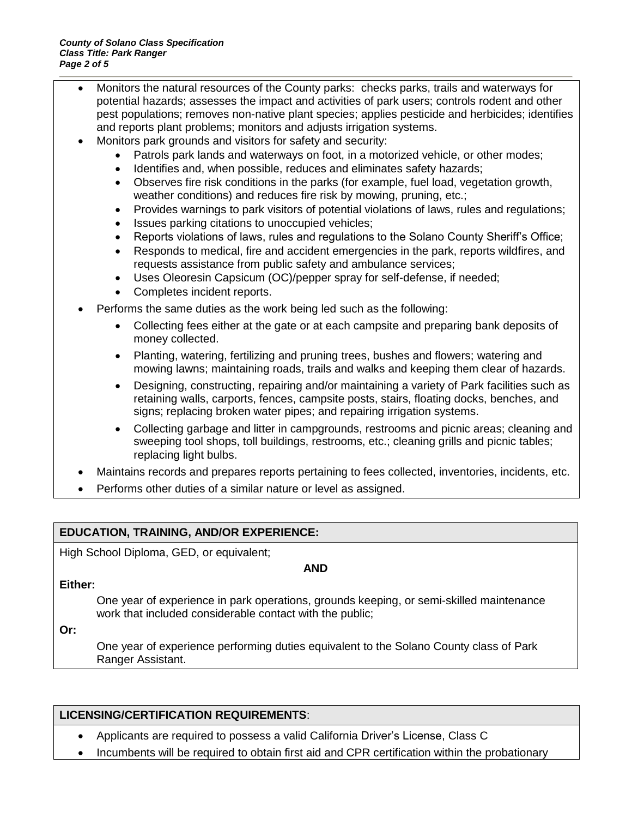- Monitors the natural resources of the County parks: checks parks, trails and waterways for potential hazards; assesses the impact and activities of park users; controls rodent and other pest populations; removes non-native plant species; applies pesticide and herbicides; identifies and reports plant problems; monitors and adjusts irrigation systems.
- Monitors park grounds and visitors for safety and security:
	- Patrols park lands and waterways on foot, in a motorized vehicle, or other modes;
	- Identifies and, when possible, reduces and eliminates safety hazards;
	- Observes fire risk conditions in the parks (for example, fuel load, vegetation growth, weather conditions) and reduces fire risk by mowing, pruning, etc.;
	- Provides warnings to park visitors of potential violations of laws, rules and regulations;
	- Issues parking citations to unoccupied vehicles:
	- Reports violations of laws, rules and regulations to the Solano County Sheriff's Office;
	- Responds to medical, fire and accident emergencies in the park, reports wildfires, and requests assistance from public safety and ambulance services;
	- Uses Oleoresin Capsicum (OC)/pepper spray for self-defense, if needed;
	- Completes incident reports.
- Performs the same duties as the work being led such as the following:
	- Collecting fees either at the gate or at each campsite and preparing bank deposits of money collected.
	- Planting, watering, fertilizing and pruning trees, bushes and flowers; watering and mowing lawns; maintaining roads, trails and walks and keeping them clear of hazards.
	- Designing, constructing, repairing and/or maintaining a variety of Park facilities such as retaining walls, carports, fences, campsite posts, stairs, floating docks, benches, and signs; replacing broken water pipes; and repairing irrigation systems.
	- Collecting garbage and litter in campgrounds, restrooms and picnic areas; cleaning and sweeping tool shops, toll buildings, restrooms, etc.; cleaning grills and picnic tables; replacing light bulbs.
- Maintains records and prepares reports pertaining to fees collected, inventories, incidents, etc.
- Performs other duties of a similar nature or level as assigned.

## **EDUCATION, TRAINING, AND/OR EXPERIENCE:**

High School Diploma, GED, or equivalent;

**AND**

#### **Either:**

One year of experience in park operations, grounds keeping, or semi-skilled maintenance work that included considerable contact with the public;

**Or:**

One year of experience performing duties equivalent to the Solano County class of Park Ranger Assistant.

#### **LICENSING/CERTIFICATION REQUIREMENTS**:

- Applicants are required to possess a valid California Driver's License, Class C
- Incumbents will be required to obtain first aid and CPR certification within the probationary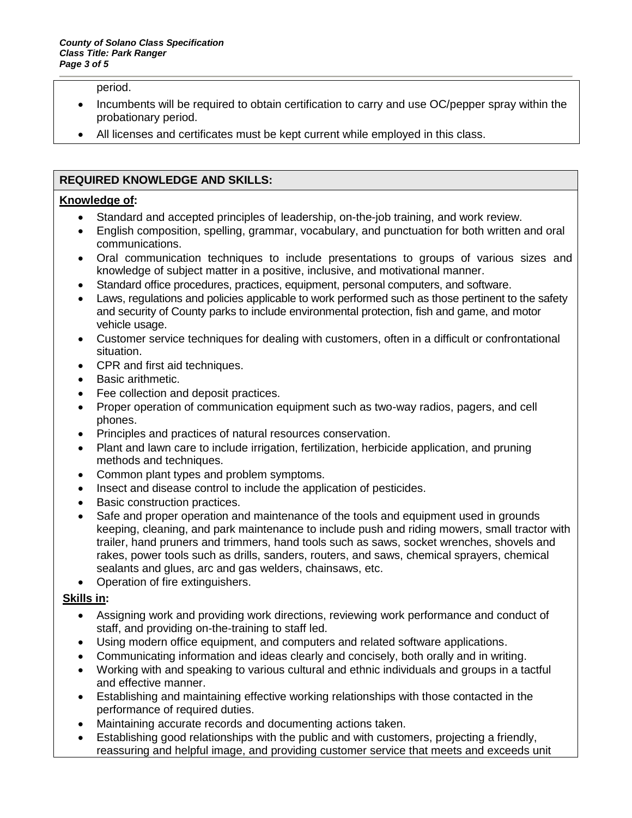period.

- Incumbents will be required to obtain certification to carry and use OC/pepper spray within the probationary period.
- All licenses and certificates must be kept current while employed in this class.

## **REQUIRED KNOWLEDGE AND SKILLS:**

## **Knowledge of:**

- Standard and accepted principles of leadership, on-the-job training, and work review.
- English composition, spelling, grammar, vocabulary, and punctuation for both written and oral communications.
- Oral communication techniques to include presentations to groups of various sizes and knowledge of subject matter in a positive, inclusive, and motivational manner.
- Standard office procedures, practices, equipment, personal computers, and software.
- Laws, regulations and policies applicable to work performed such as those pertinent to the safety and security of County parks to include environmental protection, fish and game, and motor vehicle usage.
- Customer service techniques for dealing with customers, often in a difficult or confrontational situation.
- CPR and first aid techniques.
- Basic arithmetic.
- Fee collection and deposit practices.
- Proper operation of communication equipment such as two-way radios, pagers, and cell phones.
- Principles and practices of natural resources conservation.
- Plant and lawn care to include irrigation, fertilization, herbicide application, and pruning methods and techniques.
- Common plant types and problem symptoms.
- Insect and disease control to include the application of pesticides.
- Basic construction practices.
- Safe and proper operation and maintenance of the tools and equipment used in grounds keeping, cleaning, and park maintenance to include push and riding mowers, small tractor with trailer, hand pruners and trimmers, hand tools such as saws, socket wrenches, shovels and rakes, power tools such as drills, sanders, routers, and saws, chemical sprayers, chemical sealants and glues, arc and gas welders, chainsaws, etc.
- Operation of fire extinguishers.

## **Skills in:**

- Assigning work and providing work directions, reviewing work performance and conduct of staff, and providing on-the-training to staff led.
- Using modern office equipment, and computers and related software applications.
- Communicating information and ideas clearly and concisely, both orally and in writing.
- Working with and speaking to various cultural and ethnic individuals and groups in a tactful and effective manner.
- Establishing and maintaining effective working relationships with those contacted in the performance of required duties.
- Maintaining accurate records and documenting actions taken.
- Establishing good relationships with the public and with customers, projecting a friendly, reassuring and helpful image, and providing customer service that meets and exceeds unit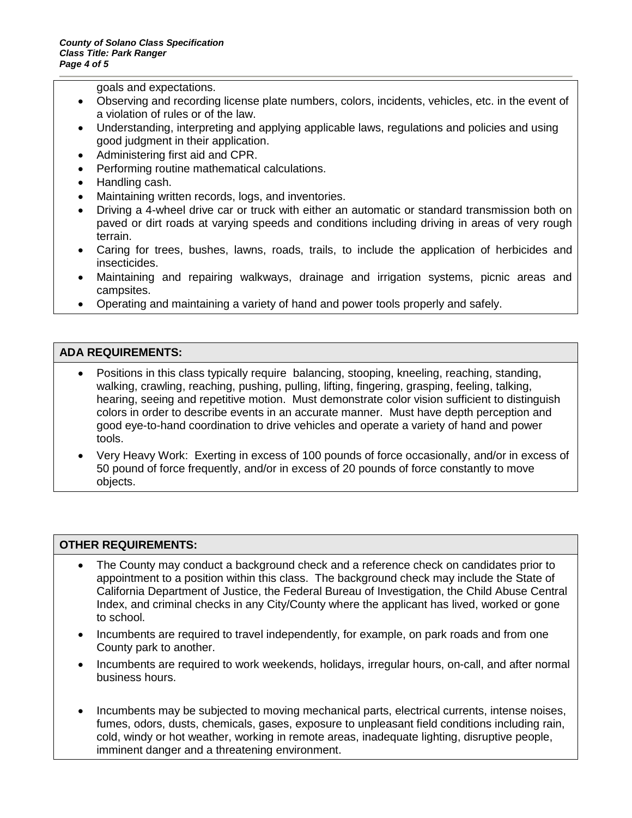goals and expectations.

- Observing and recording license plate numbers, colors, incidents, vehicles, etc. in the event of a violation of rules or of the law.
- Understanding, interpreting and applying applicable laws, regulations and policies and using good judgment in their application.
- Administering first aid and CPR.
- Performing routine mathematical calculations.
- Handling cash.
- Maintaining written records, logs, and inventories.
- Driving a 4-wheel drive car or truck with either an automatic or standard transmission both on paved or dirt roads at varying speeds and conditions including driving in areas of very rough terrain.
- Caring for trees, bushes, lawns, roads, trails, to include the application of herbicides and insecticides.
- Maintaining and repairing walkways, drainage and irrigation systems, picnic areas and campsites.
- Operating and maintaining a variety of hand and power tools properly and safely.

## **ADA REQUIREMENTS:**

- Positions in this class typically require balancing, stooping, kneeling, reaching, standing, walking, crawling, reaching, pushing, pulling, lifting, fingering, grasping, feeling, talking, hearing, seeing and repetitive motion. Must demonstrate color vision sufficient to distinguish colors in order to describe events in an accurate manner. Must have depth perception and good eye-to-hand coordination to drive vehicles and operate a variety of hand and power tools.
- Very Heavy Work: Exerting in excess of 100 pounds of force occasionally, and/or in excess of 50 pound of force frequently, and/or in excess of 20 pounds of force constantly to move objects.

## **OTHER REQUIREMENTS:**

- The County may conduct a background check and a reference check on candidates prior to appointment to a position within this class. The background check may include the State of California Department of Justice, the Federal Bureau of Investigation, the Child Abuse Central Index, and criminal checks in any City/County where the applicant has lived, worked or gone to school.
- Incumbents are required to travel independently, for example, on park roads and from one County park to another.
- Incumbents are required to work weekends, holidays, irregular hours, on-call, and after normal business hours.
- Incumbents may be subjected to moving mechanical parts, electrical currents, intense noises, fumes, odors, dusts, chemicals, gases, exposure to unpleasant field conditions including rain, cold, windy or hot weather, working in remote areas, inadequate lighting, disruptive people, imminent danger and a threatening environment.